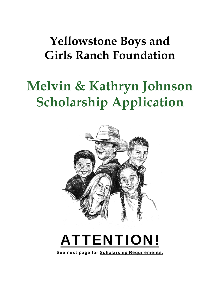# **Yellowstone Boys and Girls Ranch Foundation**

# **Melvin & Kathryn Johnson Scholarship Application**





See next page for Scholarship Requirements.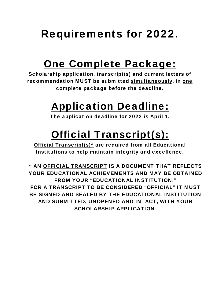# Requirements for 2022.

# One Complete Package:

Scholarship application, transcript(s) and current letters of recommendation MUST be submitted simultaneously, in one complete package before the deadline.

# Application Deadline:

The application deadline for 2022 is April 1.

# Official Transcript(s):

Official Transcript(s)\* are required from all Educational Institutions to help maintain integrity and excellence.

\* AN OFFICIAL TRANSCRIPT IS A DOCUMENT THAT REFLECTS YOUR EDUCATIONAL ACHIEVEMENTS AND MAY BE OBTAINED FROM YOUR "EDUCATIONAL INSTITUTION." FOR A TRANSCRIPT TO BE CONSIDERED "OFFICIAL" IT MUST BE SIGNED AND SEALED BY THE EDUCATIONAL INSTITUTION AND SUBMITTED, UNOPENED AND INTACT, WITH YOUR SCHOLARSHIP APPLICATION.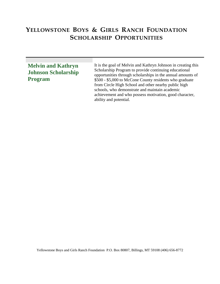### YELLOWSTONE BOYS & GIRLS RANCH FOUNDATION **SCHOLARSHIP OPPORTUNITIES**

### **Melvin and Kathryn Johnson Scholarship Program**

It is the goal of Melvin and Kathryn Johnson in creating this Scholarship Program to provide continuing educational opportunities through scholarships in the annual amounts of \$500 - \$5,000 to McCone County residents who graduate from Circle High School and other nearby public high schools, who demonstrate and maintain academic achievement and who possess motivation, good character, ability and potential.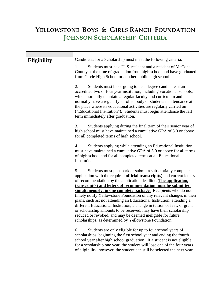### YELLOWSTONE BOYS & GIRLS RANCH FOUNDATION **JOHNSON SCHOLARSHIP CRITERIA**

| <b>Eligibility</b> | Candidates for a Scholarship must meet the following criteria:                                                                                                                                                                                                                                                                                                                                                                                                        |
|--------------------|-----------------------------------------------------------------------------------------------------------------------------------------------------------------------------------------------------------------------------------------------------------------------------------------------------------------------------------------------------------------------------------------------------------------------------------------------------------------------|
|                    | Students must be a U.S. resident and a resident of McCone<br>1.<br>County at the time of graduation from high school and have graduated<br>from Circle High School or another public high school.                                                                                                                                                                                                                                                                     |
|                    | 2.<br>Students must be or going to be a degree candidate at an<br>accredited two or four year institution, including vocational schools,<br>which normally maintain a regular faculty and curriculum and<br>normally have a regularly enrolled body of students in attendance at<br>the place where its educational activities are regularly carried on<br>("Educational Institution"). Students must begin attendance the fall<br>term immediately after graduation. |
|                    | Students applying during the final term of their senior year of<br>3.<br>high school must have maintained a cumulative GPA of 3.0 or above<br>for all completed terms of high school.                                                                                                                                                                                                                                                                                 |
|                    | 4.<br>Students applying while attending an Educational Institution<br>must have maintained a cumulative GPA of 3.0 or above for all terms<br>of high school and for all completed terms at all Educational<br>Institutions.                                                                                                                                                                                                                                           |
|                    | Students must postmark or submit a substantially complete<br>5.<br>application with the required <b>official transcript(s)</b> and current letters<br>of recommendation by the application deadline. The application,<br>transcript(s) and letters of recommendation must be submitted                                                                                                                                                                                |
|                    | simultaneously, in one complete package. Recipients who do not                                                                                                                                                                                                                                                                                                                                                                                                        |
|                    | timely notify Yellowstone Foundation of any relevant changes in their<br>plans, such as: not attending an Educational Institution, attending a<br>different Educational Institution, a change in tuition or fees, or grant<br>or scholarship amounts to be received, may have their scholarship<br>reduced or revoked, and may be deemed ineligible for future<br>scholarships, as determined by Yellowstone Foundation.                                              |
|                    | 6.<br>Students are only eligible for up to four school years of<br>scholarships, beginning the first school year and ending the fourth<br>school year after high school graduation. If a student is not eligible<br>for a scholarship one year, the student will lose one of the four years                                                                                                                                                                           |

of eligibility; however, the student can still be selected the next year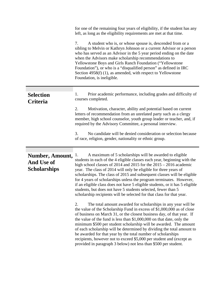|                                                             | for one of the remaining four years of eligibility, if the student has any<br>left, as long as the eligibility requirements are met at that time.<br>A student who is, or whose spouse is, descended from or a<br>7.<br>sibling to Melvin or Kathryn Johnson or a current Advisor or a person<br>who has served as an Advisor in the 5 year period ending on the date<br>when the Advisors make scholarship recommendations to<br>Yellowstone Boys and Girls Ranch Foundation ("Yellowstone<br>Foundation"), or who is a "disqualified person" as defined in IRC<br>Section $4958(f)$ (1), as amended, with respect to Yellowstone<br>Foundation, is ineligible. |  |  |
|-------------------------------------------------------------|------------------------------------------------------------------------------------------------------------------------------------------------------------------------------------------------------------------------------------------------------------------------------------------------------------------------------------------------------------------------------------------------------------------------------------------------------------------------------------------------------------------------------------------------------------------------------------------------------------------------------------------------------------------|--|--|
| <b>Selection</b><br>Criteria                                | Prior academic performance, including grades and difficulty of<br>1.<br>courses completed.                                                                                                                                                                                                                                                                                                                                                                                                                                                                                                                                                                       |  |  |
|                                                             | 2.<br>Motivation, character, ability and potential based on current<br>letters of recommendation from an unrelated party such as a clergy<br>member, high school counselor, youth group leader or teacher, and, if<br>required by the Advisory Committee, a personal interview.                                                                                                                                                                                                                                                                                                                                                                                  |  |  |
|                                                             | 3.<br>No candidate will be denied consideration or selection because<br>of race, religion, gender, nationality or ethnic group.                                                                                                                                                                                                                                                                                                                                                                                                                                                                                                                                  |  |  |
| Number, Amount,<br><b>And Use of</b><br><b>Scholarships</b> | A maximum of 5 scholarships will be awarded to eligible<br>1.<br>students in each of the 4 eligible classes each year, beginning with the<br>high school classes of 2014 and 2015 for the $2015 - 2016$ academic<br>year. The class of 2014 will only be eligible for three years of<br>scholarships. The class of 2015 and subsequent classes will be eligible<br>for 4 years of scholarships unless the program terminates. However,<br>if an eligible class does not have 5 eligible students, or it has 5 eligible<br>students, but does not have 5 students selected, fewer than 5<br>scholarship recipients will be selected for that class for that year. |  |  |
|                                                             | 2.<br>The total amount awarded for scholarships in any year will be<br>the value of the Scholarship Fund in excess of \$1,000,000 as of close<br>of business on March 31, or the closest business day, of that year. If<br>the value of the fund is less than $$1,000,000$ on that date, only the<br>minimum \$500 per student scholarship will be awarded. The amount<br>of each scholarship will be determined by dividing the total amount to<br>be awarded for that year by the total number of scholarships<br>recipients, however not to exceed \$5,000 per student and (except as                                                                         |  |  |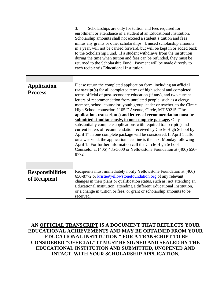|                                         | 3.<br>Scholarships are only for tuition and fees required for<br>enrollment or attendance of a student at an Educational Institution.<br>Scholarship amounts shall not exceed a student's tuition and fees<br>minus any grants or other scholarships. Unused scholarship amounts<br>in a year, will not be carried forward, but will be kept in or added back<br>to the Scholarship Fund. If a student withdraws from the institution<br>during the time when tuition and fees can be refunded, they must be<br>returned to the Scholarship Fund. Payment will be made directly to<br>each recipient's Educational Institution.                                                                                                                                                                                                                                                                                                                                                                                                         |  |  |
|-----------------------------------------|-----------------------------------------------------------------------------------------------------------------------------------------------------------------------------------------------------------------------------------------------------------------------------------------------------------------------------------------------------------------------------------------------------------------------------------------------------------------------------------------------------------------------------------------------------------------------------------------------------------------------------------------------------------------------------------------------------------------------------------------------------------------------------------------------------------------------------------------------------------------------------------------------------------------------------------------------------------------------------------------------------------------------------------------|--|--|
| <b>Application</b><br><b>Process</b>    | Please return the completed application form, including an <b>official</b><br><b>transcript(s)</b> for all completed terms of high school and completed<br>terms official of post-secondary education (if any), and two current<br>letters of recommendation from unrelated people, such as a clergy<br>member, school counselor, youth group leader or teacher, to the Circle<br>High School counselor, 1105 F Avenue, Circle, MT 59215. The<br>application, transcript(s) and letters of recommendation must be<br>submitted simultaneously, in one complete package. Only<br>substantially complete applications with required transcript(s) and<br>current letters of recommendation received by Circle High School by<br>April 1 <sup>st</sup> in one complete package will be considered. If April 1 falls<br>on a weekend, the application deadline is the next Monday following<br>April 1. For further information call the Circle High School<br>Counselor at (406) 485-3600 or Yellowstone Foundation at (406) 656-<br>8772. |  |  |
| <b>Responsibilities</b><br>of Recipient | Recipients must immediately notify Yellowstone Foundation at (406)<br>656-8772 or kristi@yellowstonefoundation.org of any relevant<br>changes in their plans or qualification status, such as: not attending an<br>Educational Institution, attending a different Educational Institution,<br>or a change in tuition or fees, or grant or scholarship amounts to be<br>received.                                                                                                                                                                                                                                                                                                                                                                                                                                                                                                                                                                                                                                                        |  |  |

**AN OFFICIAL TRANSCRIPT IS A DOCUMENT THAT REFLECTS YOUR EDUCATIONAL ACHIEVEMENTS AND MAY BE OBTAINED FROM YOUR "EDUCATIONAL INSTITUTION." FOR A TRANSCRIPT TO BE CONSIDERED "OFFICIAL" IT MUST BE SIGNED AND SEALED BY THE EDUCATIONAL INSTITUTION AND SUBMITTED, UNOPENED AND INTACT, WITH YOUR SCHOLARSHIP APPLICATION**.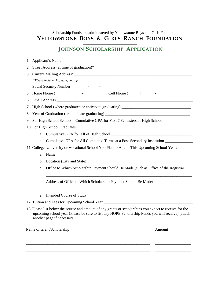#### Scholarship Funds are administered by Yellowstone Boys and Girls Foundation YELLOWSTONE BOYS & GIRLS RANCH FOUNDATION

### **JOHNSON SCHOLARSHIP APPLICATION**

|                           | 1. Applicant's Name                                                                                 |                                                                                                                                                                                                                                             |        |  |  |
|---------------------------|-----------------------------------------------------------------------------------------------------|---------------------------------------------------------------------------------------------------------------------------------------------------------------------------------------------------------------------------------------------|--------|--|--|
|                           |                                                                                                     |                                                                                                                                                                                                                                             |        |  |  |
|                           |                                                                                                     |                                                                                                                                                                                                                                             |        |  |  |
|                           |                                                                                                     | *Please include city, state, and zip.                                                                                                                                                                                                       |        |  |  |
|                           |                                                                                                     |                                                                                                                                                                                                                                             |        |  |  |
|                           |                                                                                                     |                                                                                                                                                                                                                                             |        |  |  |
|                           |                                                                                                     |                                                                                                                                                                                                                                             |        |  |  |
|                           |                                                                                                     |                                                                                                                                                                                                                                             |        |  |  |
|                           |                                                                                                     |                                                                                                                                                                                                                                             |        |  |  |
|                           | 9. For High School Seniors – Cumulative GPA for First 7 Semesters of High School __________________ |                                                                                                                                                                                                                                             |        |  |  |
|                           |                                                                                                     | 10. For High School Graduates:                                                                                                                                                                                                              |        |  |  |
|                           | a.                                                                                                  |                                                                                                                                                                                                                                             |        |  |  |
|                           |                                                                                                     | b. Cumulative GPA for All Completed Terms at a Post-Secondary Institution _____________                                                                                                                                                     |        |  |  |
|                           |                                                                                                     | 11. College, University or Vocational School You Plan to Attend This Upcoming School Year:                                                                                                                                                  |        |  |  |
|                           | a.                                                                                                  |                                                                                                                                                                                                                                             |        |  |  |
|                           | b.                                                                                                  |                                                                                                                                                                                                                                             |        |  |  |
|                           | c.                                                                                                  | Office to Which Scholarship Payment Should Be Made (such as Office of the Registrar):                                                                                                                                                       |        |  |  |
|                           | Address of Office to Which Scholarship Payment Should Be Made:<br>d.                                |                                                                                                                                                                                                                                             |        |  |  |
|                           | e.                                                                                                  |                                                                                                                                                                                                                                             |        |  |  |
|                           |                                                                                                     | 12. Tuition and Fees for Upcoming School Year ___________________________________                                                                                                                                                           |        |  |  |
|                           |                                                                                                     | 13. Please list below the source and amount of any grants or scholarships you expect to receive for the<br>upcoming school year (Please be sure to list any HOPE Scholarship Funds you will receive) (attach<br>another page if necessary): |        |  |  |
| Name of Grant/Scholarship |                                                                                                     |                                                                                                                                                                                                                                             | Amount |  |  |
|                           |                                                                                                     |                                                                                                                                                                                                                                             |        |  |  |

\_\_\_\_\_\_\_\_\_\_\_\_\_\_\_\_\_\_\_\_\_\_\_\_\_\_\_\_\_\_\_\_\_\_\_\_\_\_\_\_\_\_\_\_\_\_\_\_\_\_\_\_\_\_\_\_\_\_\_\_\_\_\_ \_\_\_\_\_\_\_\_\_\_\_\_\_\_\_\_\_\_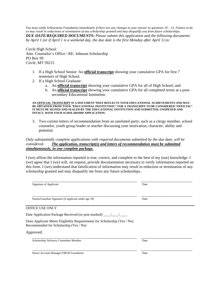*You must notify Yellowstone Foundation immediately if there are any changes to your answer to questions 10 – 13. Failure to do so may result in reductions or termination of any scholarship granted and may disqualify you from future scholarships. DUE DATE/REQUIRED DOCUMENTS: Please submit this application and the following documents by April 1 (or if April 1 is a weekend day, the due date is the first Monday after April 1) to:* 

Circle High School Attn: Counselor's Office / RE: Johnson Scholarship PO Box 99 Circle, MT 59215

- 1. If a High School Senior: An **official transcript** showing your cumulative GPA for first 7 semesters of High School.
- 2. If a High School Graduate:
	- a. An **official transcript** showing your cumulative GPA for all of High School; and
	- b. An **official transcript** showing your cumulative GPA for all completed terms at a postsecondary Educational Institution.

**AN OFFICIAL TRANSCRIPT IS A DOCUMENT THAT REFLECTS YOUR EDUCATIONAL ACHIEVEMENTS AND MAY BE OBTAINED FROM YOUR "EDUCATIONAL INSTITUTION." FOR A TRANSCRIPT TO BE CONSIDERED "OFFICIAL" IT MUST BE SIGNED AND SEALED BY THE EDUCATIONAL INSTITUTION AND SUBMITTED, UNOPENED AND INTACT, WITH YOUR SCHOLARSHIP APPLICATION.**

3. Two current letters of recommendation from an unrelated party; such as a clergy member, school counselor, youth group leader or teacher discussing your motivation, character, ability and potential.

#### *Only substantially complete applications with required documents submitted by the due date, will be considered. The application, transcript(s) and letters of recommendation must be submitted simultaneously, in one complete package.*

I (we) affirm the information reported is true, correct, and complete to the best of my (our) knowledge. I (we) agree that I (we) will, on request, provide documentation necessary to verify information reported on this form. I (we) understand that falsification of information may result in reduction or termination of any scholarship granted and may disqualify me from any future scholarships.

| Signature of Applicant                                                   | Date |  |
|--------------------------------------------------------------------------|------|--|
|                                                                          |      |  |
|                                                                          |      |  |
| Parent/Guardian Signature (if applicant under age 18)                    | Date |  |
| OFFICE USE ONLY                                                          |      |  |
|                                                                          |      |  |
|                                                                          |      |  |
| Does Applicant Meets Eligibility Requirements for Scholarship (Yes / No) |      |  |
| Recommended for Scholarship (Yes / No)                                   |      |  |
| Approved:                                                                |      |  |
| Scholarship Advisory Committee Member                                    | Date |  |
|                                                                          |      |  |
|                                                                          |      |  |
| Donor Account Manager/YBGR Foundation                                    | Date |  |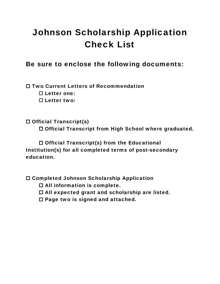### Johnson Scholarship Application Check List

### Be sure to enclose the following documents:

□ Two Current Letters of Recommendation

□ Letter one:

□ Letter two:

□ Official Transcript(s) □ Official Transcript from High School where graduated.

□ Official Transcript(s) from the Educational Institution(s) for all completed terms of post-secondary education.

Completed Johnson Scholarship Application

□ All information is complete.

□ All expected grant and scholarship are listed.

 $\square$  Page two is signed and attached.